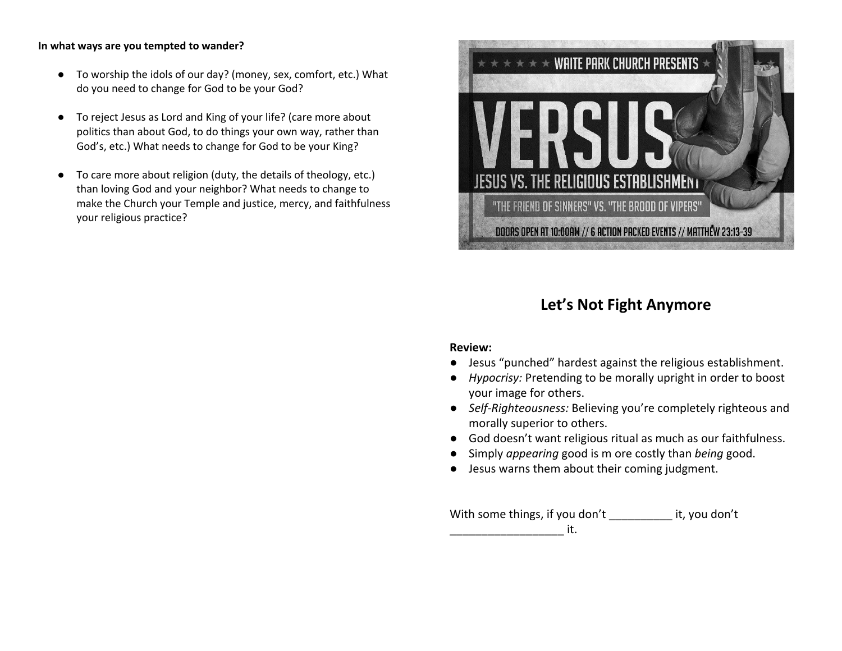### **In what ways are you tempted to wander?**

- To worship the idols of our day? (money, sex, comfort, etc.) What do you need to change for God to be your God?
- To reject Jesus as Lord and King of your life? (care more about politics than about God, to do things your own way, rather than God's, etc.) What needs to change for God to be your King?
- To care more about religion (duty, the details of theology, etc.) than loving God and your neighbor? What needs to change to make the Church your Temple and justice, mercy, and faithfulness your religious practice?



# **Let's Not Fight Anymore**

### **Review:**

- Jesus "punched" hardest against the religious establishment.
- *Hypocrisy:* Pretending to be morally upright in order to boost your image for others.
- *Self-Righteousness:* Believing you're completely righteous and morally superior to others.
- God doesn't want religious ritual as much as our faithfulness.
- Simply *appearing* good is m ore costly than *being* good.
- Jesus warns them about their coming judgment.

With some things, if you don't it, you don't  $-$ it.